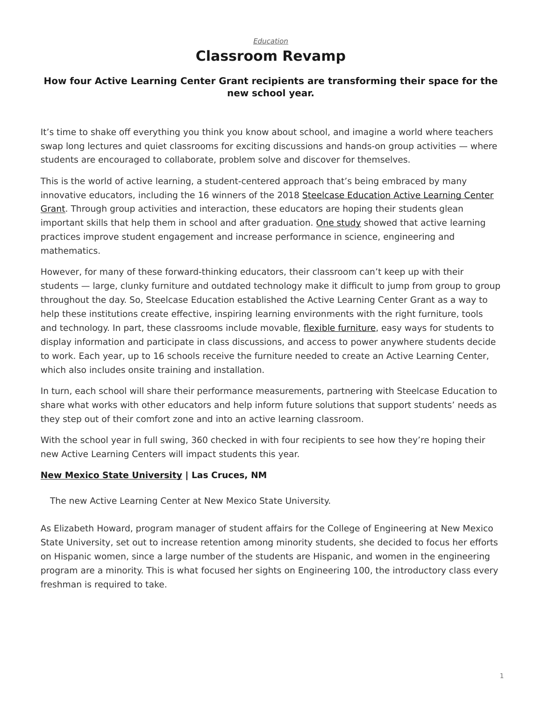## *[Education](https://www.steelcase.com/research/topics/education/)* **Classroom Revamp**

## <span id="page-0-0"></span>**How four Active Learning Center Grant recipients are transforming their space for the new school year.**

It's time to shake off everything you think you know about school, and imagine a world where teachers swap long lectures and quiet classrooms for exciting discussions and hands-on group activities — where students are encouraged to collaborate, problem solve and discover for themselves.

This is the world of active learning, a student-centered approach that's being embraced by many innovative educators, including the 16 winners of the 2018 [Steelcase Education Active Learning Center](https://www.steelcase.com/discover/information/education/active-learning-center-grant/) [Grant.](https://www.steelcase.com/discover/information/education/active-learning-center-grant/) Through group activities and interaction, these educators are hoping their students glean important skills that help them in school and after graduation. [One study](http://www.pnas.org/content/pnas/111/23/8410.full.pdf) showed that active learning practices improve student engagement and increase performance in science, engineering and mathematics.

However, for many of these forward-thinking educators, their classroom can't keep up with their students — large, clunky furniture and outdated technology make it difficult to jump from group to group throughout the day. So, Steelcase Education established the Active Learning Center Grant as a way to help these institutions create effective, inspiring learning environments with the right furniture, tools and technology. In part, these classrooms include movable, [flexible furniture,](https://www.steelcase.com/products/collaborative-chairs/node/) easy ways for students to display information and participate in class discussions, and access to power anywhere students decide to work. Each year, up to 16 schools receive the furniture needed to create an Active Learning Center, which also includes onsite training and installation.

In turn, each school will share their performance measurements, partnering with Steelcase Education to share what works with other educators and help inform future solutions that support students' needs as they step out of their comfort zone and into an active learning classroom.

With the school year in full swing, 360 checked in with four recipients to see how they're hoping their new Active Learning Centers will impact students this year.

## **[New Mexico State University](https://nmsu.edu/) | Las Cruces, NM**

The new Active Learning Center at New Mexico State University.

As Elizabeth Howard, program manager of student affairs for the College of Engineering at New Mexico State University, set out to increase retention among minority students, she decided to focus her efforts on Hispanic women, since a large number of the students are Hispanic, and women in the engineering program are a minority. This is what focused her sights on Engineering 100, the introductory class every freshman is required to take.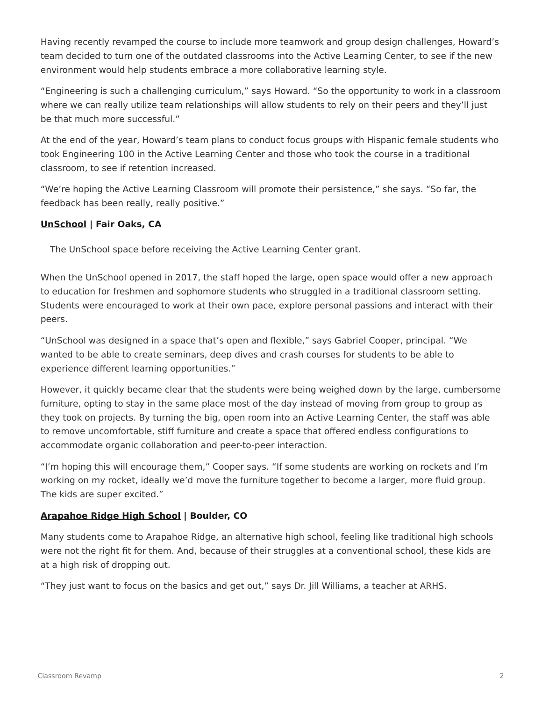Having recently revamped the course to include more teamwork and group design challenges, Howard's team decided to turn one of the outdated classrooms into the Active Learning Center, to see if the new environment would help students embrace a more collaborative learning style.

"Engineering is such a challenging curriculum," says Howard. "So the opportunity to work in a classroom where we can really utilize team relationships will allow students to rely on their peers and they'll just be that much more successful."

At the end of the year, Howard's team plans to conduct focus groups with Hispanic female students who took Engineering 100 in the Active Learning Center and those who took the course in a traditional classroom, to see if retention increased.

"We're hoping the Active Learning Classroom will promote their persistence," she says. "So far, the feedback has been really, really positive."

## **[UnSchool](https://www.sanjuan.edu/unschool) | Fair Oaks, CA**

The UnSchool space before receiving the Active Learning Center grant.

When the UnSchool opened in 2017, the staff hoped the large, open space would offer a new approach to education for freshmen and sophomore students who struggled in a traditional classroom setting. Students were encouraged to work at their own pace, explore personal passions and interact with their peers.

"UnSchool was designed in a space that's open and flexible," says Gabriel Cooper, principal. "We wanted to be able to create seminars, deep dives and crash courses for students to be able to experience different learning opportunities."

However, it quickly became clear that the students were being weighed down by the large, cumbersome furniture, opting to stay in the same place most of the day instead of moving from group to group as they took on projects. By turning the big, open room into an Active Learning Center, the staff was able to remove uncomfortable, stiff furniture and create a space that offered endless configurations to accommodate organic collaboration and peer-to-peer interaction.

"I'm hoping this will encourage them," Cooper says. "If some students are working on rockets and I'm working on my rocket, ideally we'd move the furniture together to become a larger, more fluid group. The kids are super excited."

#### **[Arapahoe Ridge High School](https://arh.bvsd.org/Pages/default.aspx) | Boulder, CO**

Many students come to Arapahoe Ridge, an alternative high school, feeling like traditional high schools were not the right fit for them. And, because of their struggles at a conventional school, these kids are at a high risk of dropping out.

"They just want to focus on the basics and get out," says Dr. Jill Williams, a teacher at ARHS.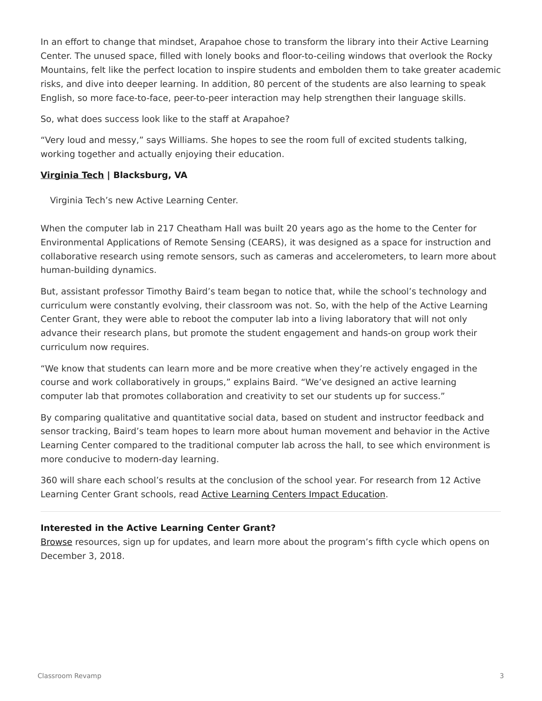In an effort to change that mindset, Arapahoe chose to transform the library into their Active Learning Center. The unused space, filled with lonely books and floor-to-ceiling windows that overlook the Rocky Mountains, felt like the perfect location to inspire students and embolden them to take greater academic risks, and dive into deeper learning. In addition, 80 percent of the students are also learning to speak English, so more face-to-face, peer-to-peer interaction may help strengthen their language skills.

So, what does success look like to the staff at Arapahoe?

"Very loud and messy," says Williams. She hopes to see the room full of excited students talking, working together and actually enjoying their education.

### **[Virginia Tech](https://vt.edu/) | Blacksburg, VA**

Virginia Tech's new Active Learning Center.

When the computer lab in 217 Cheatham Hall was built 20 years ago as the home to the Center for Environmental Applications of Remote Sensing (CEARS), it was designed as a space for instruction and collaborative research using remote sensors, such as cameras and accelerometers, to learn more about human-building dynamics.

But, assistant professor Timothy Baird's team began to notice that, while the school's technology and curriculum were constantly evolving, their classroom was not. So, with the help of the Active Learning Center Grant, they were able to reboot the computer lab into a living laboratory that will not only advance their research plans, but promote the student engagement and hands-on group work their curriculum now requires.

"We know that students can learn more and be more creative when they're actively engaged in the course and work collaboratively in groups," explains Baird. "We've designed an active learning computer lab that promotes collaboration and creativity to set our students up for success."

By comparing qualitative and quantitative social data, based on student and instructor feedback and sensor tracking, Baird's team hopes to learn more about human movement and behavior in the Active Learning Center compared to the traditional computer lab across the hall, to see which environment is more conducive to modern-day learning.

360 will share each school's results at the conclusion of the school year. For research from 12 Active Learning Center Grant schools, read [Active Learning Centers Impact Education.](https://www.steelcase.com/research/articles/topics/classroom-design/impact-on-education-in-active-learning-centers/)

#### **Interested in the Active Learning Center Grant?**

[Browse](https://www.steelcase.com/discover/information/education/active-learning-center-grant/?utm_source=360research&utm_medium=blog&utm_campaign=alcgrant&utm_content=alc4recipients) resources, sign up for updates, and learn more about the program's fifth cycle which opens on December 3, 2018.